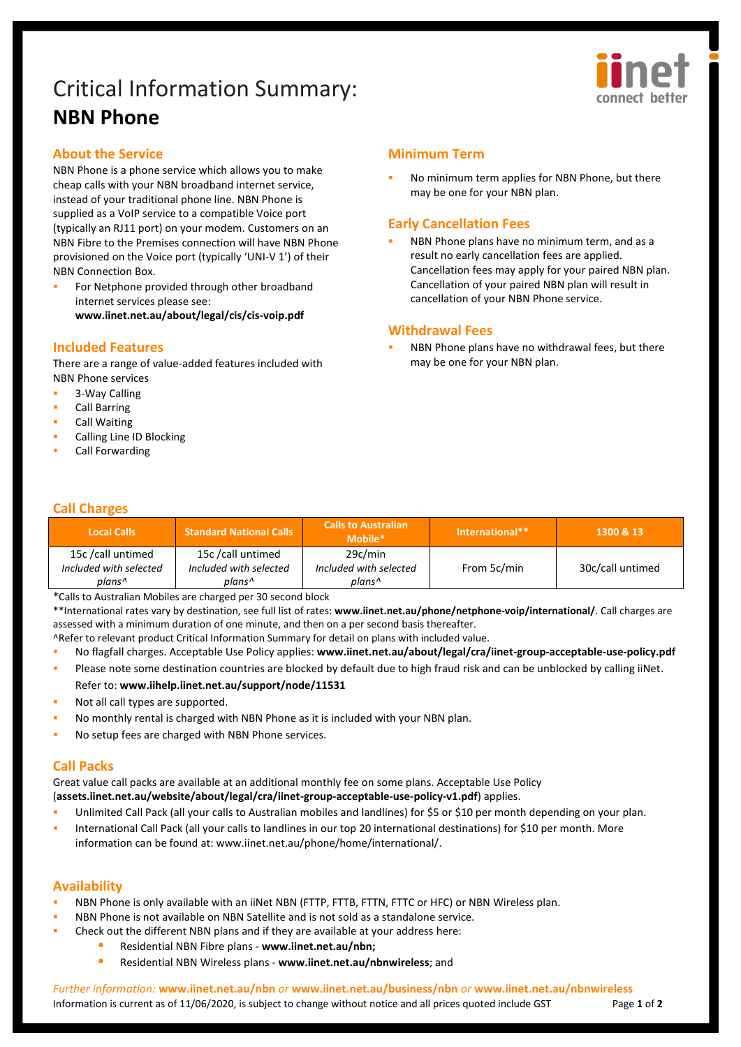# Critical Information Summary: **NBN Phone**



## **About the Service**

NBN Phone is a phone service which allows you to make cheap calls with your NBN broadband internet service, instead of your traditional phone line. NBN Phone is supplied as a VoIP service to a compatible Voice port (typically an RJ11 port) on your modem. Customers on an NBN Fibre to the Premises connection will have NBN Phone provisioned on the Voice port (typically 'UNI-V 1') of their NBN Connection Box.

 For Netphone provided through other broadband internet services please see: **[www.iinet.net.au/about/legal/cis/cis-voip.pdf](http://www.iinet.net.au/about/legal/cis/cis-voip.pdf)**

### **Included Features**

There are a range of value-added features included with NBN Phone services

- **3-Way Calling**
- Call Barring
- Call Waiting
- Calling Line ID Blocking
- Call Forwarding

# **Minimum Term**

 No minimum term applies for NBN Phone, but there may be one for your NBN plan.

# **Early Cancellation Fees**

 NBN Phone plans have no minimum term, and as a result no early cancellation fees are applied. Cancellation fees may apply for your paired NBN plan. Cancellation of your paired NBN plan will result in cancellation of your NBN Phone service.

### **Withdrawal Fees**

 NBN Phone plans have no withdrawal fees, but there may be one for your NBN plan.

# **Call Charges**

| <b>Local Calls</b>     | <b>Standard National Calls</b> | <b>Calls to Australian</b><br>Mobile* | l International**1 | 1300 & 13        |
|------------------------|--------------------------------|---------------------------------------|--------------------|------------------|
| 15c/call untimed       | 15c /call untimed              | 29c/min                               |                    |                  |
| Included with selected | Included with selected         | Included with selected                | From 5c/min        | 30c/call untimed |
| plans^                 | plans^                         | plans^                                |                    |                  |

\*Calls to Australian Mobiles are charged per 30 second block

\*\*International rates vary by destination, see full list of rates: **[www.iinet.net.au/phone/netphone-voip/international/](http://www.iinet.net.au/phone/netphone-voip/international/)**. Call charges are assessed with a minimum duration of one minute, and then on a per second basis thereafter.

^Refer to relevant product Critical Information Summary for detail on plans with included value.

- No flagfall charges. Acceptable Use Policy applies: **[www.iinet.net.au/about/legal/cra/iinet-group-acceptable-use-policy.pdf](http://www.iinet.net.au/about/legal/cra/iinet-group-acceptable-use-policy.pdf)**
- Please note some destination countries are blocked by default due to high fraud risk and can be unblocked by calling iiNet. Refer to: **[www.iihelp.iinet.net.au/support/node/11531](http://www.iihelp.iinet.net.au/support/node/11531)**
- Not all call types are supported.
- No monthly rental is charged with NBN Phone as it is included with your NBN plan.
- No setup fees are charged with NBN Phone services.

## **Call Packs**

Great value call packs are available at an additional monthly fee on some plans. Acceptable Use Policy (**[assets.iinet.net.au/website/about/legal/cra/iinet-group-acceptable-use-policy-v1.pdf](https://assets.iinet.net.au/website/about/legal/cra/iinet-group-acceptable-use-policy-v1.pdf)**) applies.

- Unlimited Call Pack (all your calls to Australian mobiles and landlines) for \$5 or \$10 per month depending on your plan.
- International Call Pack (all your calls to landlines in our top 20 international destinations) for \$10 per month. More information can be found at[: www.iinet.net.au/phone/home/international/.](http://www.iinet.net.au/phone/home/international/)

## **Availability**

- NBN Phone is only available with an iiNet NBN (FTTP, FTTB, FTTN, FTTC or HFC) or NBN Wireless plan.
- NBN Phone is not available on NBN Satellite and is not sold as a standalone service.
- Check out the different NBN plans and if they are available at your address here:
	- Residential NBN Fibre plans **[www.iinet.net.au/nbn;](http://www.iinet.net.au/nbn)**
	- Residential NBN Wireless plans **[www.iinet.net.au/nbnwireless](http://www.iinet.net.au/nbnwireless)**; and

*Further information:* **www.iinet.net.au/nbn** *or* **www.iinet.net.au/business/nbn** *or* **www.iinet.net.au/nbnwireless** Information is current as of 11/06/2020, is subject to change without notice and all prices quoted include GST Page 1 of 2